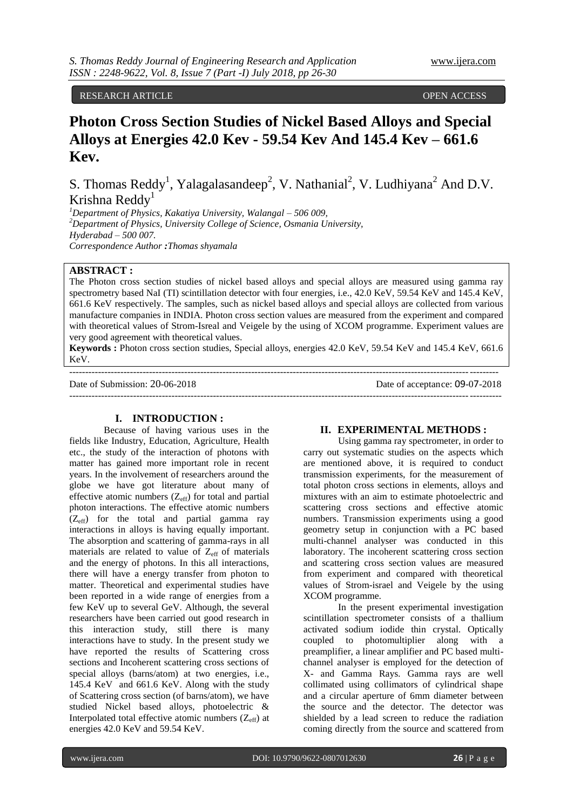# RESEARCH ARTICLE OPEN ACCESS

# **Photon Cross Section Studies of Nickel Based Alloys and Special Alloys at Energies 42.0 Kev - 59.54 Kev And 145.4 Kev – 661.6 Kev.**

S. Thomas Reddy<sup>1</sup>, Yalagalasandeep<sup>2</sup>, V. Nathanial<sup>2</sup>, V. Ludhiyana<sup>2</sup> And D.V. Krishna Reddy<sup>1</sup>

*<sup>1</sup>Department of Physics, Kakatiya University, Walangal – 506 009, <sup>2</sup>Department of Physics, University College of Science, Osmania University, Hyderabad – 500 007. Correspondence Author :Thomas shyamala*

# **ABSTRACT :**

The Photon cross section studies of nickel based alloys and special alloys are measured using gamma ray spectrometry based NaI (TI) scintillation detector with four energies, i.e., 42.0 KeV, 59.54 KeV and 145.4 KeV, 661.6 KeV respectively. The samples, such as nickel based alloys and special alloys are collected from various manufacture companies in INDIA. Photon cross section values are measured from the experiment and compared with theoretical values of Strom-Isreal and Veigele by the using of XCOM programme. Experiment values are very good agreement with theoretical values.

**Keywords :** Photon cross section studies, Special alloys, energies 42.0 KeV, 59.54 KeV and 145.4 KeV, 661.6 KeV.

--------------------------------------------------------------------------------------------------------------------------------------

---------------------------------------------------------------------------------------------------------------------------------------

Date of Submission: 20-06-2018 Date of acceptance: 09-07-2018

#### **I. INTRODUCTION :**

Because of having various uses in the fields like Industry, Education, Agriculture, Health etc., the study of the interaction of photons with matter has gained more important role in recent years. In the involvement of researchers around the globe we have got literature about many of effective atomic numbers  $(Z<sub>eff</sub>)$  for total and partial photon interactions. The effective atomic numbers (Zeff) for the total and partial gamma ray interactions in alloys is having equally important. The absorption and scattering of gamma-rays in all materials are related to value of Z<sub>eff</sub> of materials and the energy of photons. In this all interactions, there will have a energy transfer from photon to matter. Theoretical and experimental studies have been reported in a wide range of energies from a few KeV up to several GeV. Although, the several researchers have been carried out good research in this interaction study, still there is many interactions have to study. In the present study we have reported the results of Scattering cross sections and Incoherent scattering cross sections of special alloys (barns/atom) at two energies, i.e., 145.4 KeV and 661.6 KeV. Along with the study of Scattering cross section (of barns/atom), we have studied Nickel based alloys, photoelectric & Interpolated total effective atomic numbers  $(Z_{\text{eff}})$  at energies 42.0 KeV and 59.54 KeV.

# **II. EXPERIMENTAL METHODS :**

Using gamma ray spectrometer, in order to carry out systematic studies on the aspects which are mentioned above, it is required to conduct transmission experiments, for the measurement of total photon cross sections in elements, alloys and mixtures with an aim to estimate photoelectric and scattering cross sections and effective atomic numbers. Transmission experiments using a good geometry setup in conjunction with a PC based multi-channel analyser was conducted in this laboratory. The incoherent scattering cross section and scattering cross section values are measured from experiment and compared with theoretical values of Strom-israel and Veigele by the using XCOM programme.

In the present experimental investigation scintillation spectrometer consists of a thallium activated sodium iodide thin crystal. Optically coupled to photomultiplier along with a preamplifier, a linear amplifier and PC based multichannel analyser is employed for the detection of X- and Gamma Rays. Gamma rays are well collimated using collimators of cylindrical shape and a circular aperture of 6mm diameter between the source and the detector. The detector was shielded by a lead screen to reduce the radiation coming directly from the source and scattered from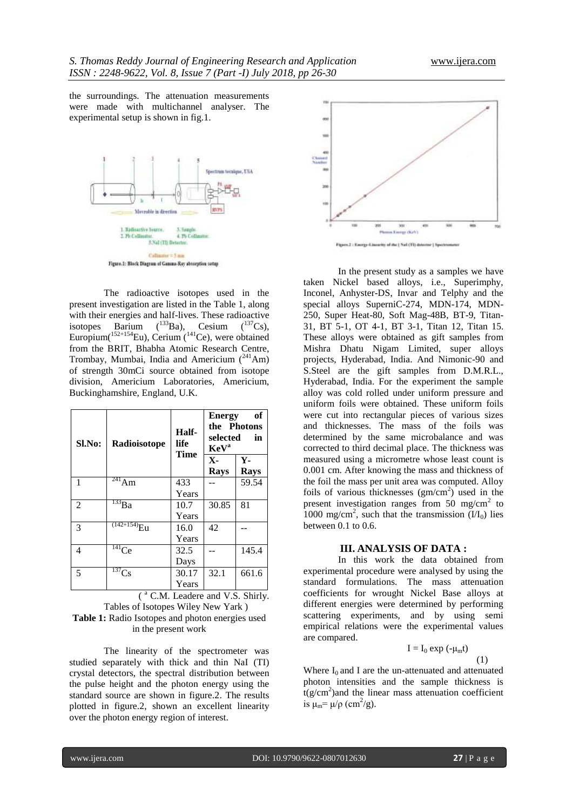the surroundings. The attenuation measurements were made with multichannel analyser. The experimental setup is shown in fig.1.



The radioactive isotopes used in the present investigation are listed in the Table 1, along with their energies and half-lives. These radioactive isotopes Barium  $(^{133}Ba)$ , Cesium  $(^{137}Cs)$ , Europium( $152+154$ Eu), Cerium ( $141$ Ce), were obtained from the BRIT, Bhabha Atomic Research Centre, Trombay, Mumbai, India and Americium  $(^{241}Am)$ of strength 30mCi source obtained from isotope division, Americium Laboratories, Americium, Buckinghamshire, England, U.K.

| Sl.No: | Radioisotope           | Half-<br>life | of<br><b>Energy</b><br>the Photons<br>selected<br>in<br><b>KeV</b> <sup>a</sup> |                      |  |
|--------|------------------------|---------------|---------------------------------------------------------------------------------|----------------------|--|
|        | Time                   |               | $\mathbf{X}$ -<br><b>Rays</b>                                                   | $Y -$<br><b>Rays</b> |  |
| 1      | $^{241}$ Am            | 433           |                                                                                 | 59.54                |  |
|        |                        | Years         |                                                                                 |                      |  |
| 2      | $^{133}$ Ba            | 10.7          | 30.85                                                                           | 81                   |  |
|        |                        | Years         |                                                                                 |                      |  |
| 3      | (142+154<br>Έu         | 16.0          | 42                                                                              |                      |  |
|        |                        | Years         |                                                                                 |                      |  |
| 4      | $\overline{^{141}}$ Ce | 32.5          |                                                                                 | 145.4                |  |
|        |                        | Days          |                                                                                 |                      |  |
| 5      | $137$ Cs               | 30.17         | 32.1                                                                            | 661.6                |  |
|        |                        | Years         |                                                                                 |                      |  |

( <sup>a</sup> C.M. Leadere and V.S. Shirly. Tables of Isotopes Wiley New Yark ) **Table 1:** Radio Isotopes and photon energies used in the present work

The linearity of the spectrometer was studied separately with thick and thin NaI (TI) crystal detectors, the spectral distribution between the pulse height and the photon energy using the standard source are shown in figure.2. The results plotted in figure.2, shown an excellent linearity over the photon energy region of interest.



In the present study as a samples we have taken Nickel based alloys, i.e., Superimphy, Inconel, Anhyster-DS, Invar and Telphy and the special alloys SuperniC-274, MDN-174, MDN-250, Super Heat-80, Soft Mag-48B, BT-9, Titan-31, BT 5-1, OT 4-1, BT 3-1, Titan 12, Titan 15. These alloys were obtained as gift samples from Mishra Dhatu Nigam Limited, super alloys projects, Hyderabad, India. And Nimonic-90 and S.Steel are the gift samples from D.M.R.L., Hyderabad, India. For the experiment the sample alloy was cold rolled under uniform pressure and uniform foils were obtained. These uniform foils were cut into rectangular pieces of various sizes and thicknesses. The mass of the foils was determined by the same microbalance and was corrected to third decimal place. The thickness was measured using a micrometre whose least count is 0.001 cm. After knowing the mass and thickness of the foil the mass per unit area was computed. Alloy foils of various thicknesses  $(gm/cm<sup>2</sup>)$  used in the present investigation ranges from 50 mg/cm<sup>2</sup> to 1000 mg/cm<sup>2</sup>, such that the transmission  $(I/I_0)$  lies between  $0.1$  to  $0.6$ .

#### **III. ANALYSIS OF DATA :**

In this work the data obtained from experimental procedure were analysed by using the standard formulations. The mass attenuation coefficients for wrought Nickel Base alloys at different energies were determined by performing scattering experiments, and by using semi empirical relations were the experimental values are compared.

$$
I = I_0 \exp(-\mu_m t) \tag{1}
$$

Where  $I_0$  and I are the un-attenuated and attenuated photon intensities and the sample thickness is  $t(g/cm<sup>2</sup>)$  and the linear mass attenuation coefficient is  $\mu_m = \mu/\rho$  (cm<sup>2</sup>/g).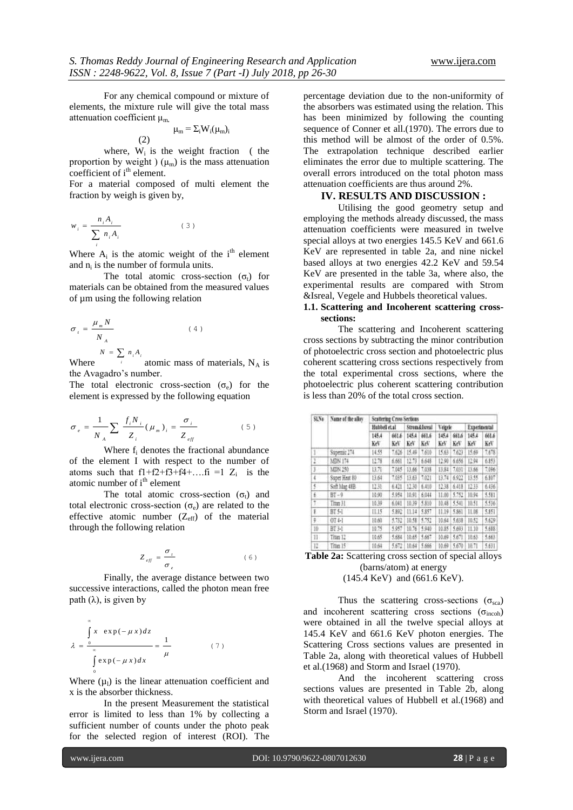For any chemical compound or mixture of elements, the mixture rule will give the total mass attenuation coefficient μm**.** 

$$
\mu_m = \Sigma_i W_i(\mu_m)_i
$$

where,  $W_i$  is the weight fraction (the proportion by weight )  $(\mu_m)$  is the mass attenuation coefficient of  $i<sup>th</sup>$  element.

For a material composed of multi element the fraction by weigh is given by,

$$
w_i = \frac{n_i A_i}{\sum_i n_i A_i} \tag{3}
$$

(2)

Where  $A_i$  is the atomic weight of the i<sup>th</sup> element and  $n_i$  is the number of formula units.

The total atomic cross-section  $(\sigma_t)$  for materials can be obtained from the measured values of µm using the following relation

$$
\sigma_{i} = \frac{\mu_{m} N}{N_{A}}
$$
\n
$$
N = \sum_{n} n A
$$
\n(4)

 $N = \sum_{i} n_i A_i$ atomic mass of materials,  $N_A$  is the Avagadro's number.

The total electronic cross-section  $(\sigma_e)$  for the element is expressed by the following equation

$$
\sigma_e = \frac{1}{N_A} \sum \frac{f_i N_i}{Z_i} (\mu_m)_i = \frac{\sigma_i}{Z_{eff}}
$$
 (5)

Where f<sup>i</sup> denotes the fractional abundance of the element I with respect to the number of atoms such that  $f1+f2+f3+f4+...f1 = 1$   $Z_i$  is the atomic number of  $i<sup>th</sup>$  element

The total atomic cross-section  $(\sigma_t)$  and total electronic cross-section  $(\sigma_e)$  are related to the effective atomic number  $(Z_{\text{eff}})$  of the material through the following relation

$$
Z_{\text{eff}} = \frac{\sigma_{t}}{\sigma_{e}} \tag{6}
$$

Finally, the average distance between two successive interactions, called the photon mean free path  $(\lambda)$ , is given by

$$
\lambda = \frac{\int_{0}^{\infty} x \exp(-\mu x) dz}{\int \exp(-\mu x) dx} = \frac{1}{\mu}
$$
 (7)

Where  $(\mu_l)$  is the linear attenuation coefficient and x is the absorber thickness.

In the present Measurement the statistical error is limited to less than 1% by collecting a sufficient number of counts under the photo peak for the selected region of interest (ROI). The

percentage deviation due to the non-uniformity of the absorbers was estimated using the relation. This has been minimized by following the counting sequence of Conner et all.(1970). The errors due to this method will be almost of the order of 0.5%. The extrapolation technique described earlier eliminates the error due to multiple scattering. The overall errors introduced on the total photon mass attenuation coefficients are thus around 2%.

### **IV. RESULTS AND DISCUSSION :**

Utilising the good geometry setup and employing the methods already discussed, the mass attenuation coefficients were measured in twelve special alloys at two energies 145.5 KeV and 661.6 KeV are represented in table 2a, and nine nickel based alloys at two energies 42.2 KeV and 59.54 KeV are presented in the table 3a, where also, the experimental results are compared with Strom &Isreal, Vegele and Hubbels theoretical values.

### **1.1. Scattering and Incoherent scattering crosssections:**

The scattering and Incoherent scattering cross sections by subtracting the minor contribution of photoelectric cross section and photoelectric plus coherent scattering cross sections respectively from the total experimental cross sections, where the photoelectric plus coherent scattering contribution is less than 20% of the total cross section.

| $SIN_0$        | Name of the alloy | Scattering Cross Sections |              |                           |              |             |              |              |              |  |
|----------------|-------------------|---------------------------|--------------|---------------------------|--------------|-------------|--------------|--------------|--------------|--|
|                |                   | Hubbell et al.            |              | <b>Strum &amp; Isreal</b> |              | Veigele     |              | Experimental |              |  |
|                |                   | 145.4<br>Kev              | 661.6<br>KeV | 145.4<br>KeV              | 461.6<br>KeV | 1454<br>KeF | 661.6<br>KeV | 145.4<br>KeV | 661.6<br>KeV |  |
| Ť.             | Supernic 274      | 14.55                     | 7.626        | ほ番                        | 7,610        | 15.63       | 7,623        | 15.69        | 7,678        |  |
| 1.             | MDN 174           | 12.78                     | 6.661        | 12.73                     | 6,648        | 12.90       | 6.656        | 12.94        | 6.853        |  |
| $\mathbf{1}$   | MIN 250           | 11.71                     | 7.045        | 13,66                     | 7,038        | 13.84       | 7.031        | 13.66        | 7,096        |  |
| ı              | Super Heat 80     | 日斜                        | 7,035        | 日日                        | 7,023        | 13.74       | 6.922        | 13.55        | 6.807        |  |
| š.             | Soft Mag 48B      | 12.31                     | 6421         | 12.30                     | 6.410        | 12.38       | 6.418        | 12.33        | 6.436        |  |
| $\mathbb{R}^+$ | $BT-9$            | 10.90                     | 5.954        | 10.91                     | 6.044        | 11.00       | 5.752        | 10.94        | 5.581        |  |
| Ť.             | Titan 31          | 10.39                     | 6.041        | 10.39                     | 5,810        | 10.48       | 5541         | 10.51        | 5536         |  |
| g.             | BT 5-1            | 11.15                     | 5.892        | [1.14]                    | 5.857        | 11.19       | 5.861        | 11.08        | 5.851        |  |
| ņ.             | $014-1$           | 日が                        | 5.752        | 10.51                     | 5,752        | 10.64       | 5,638        | 10.51        | 5.639        |  |
| 拉              | BT 3-1            | 10.75                     | 1957         | 10.76                     | 5.940        | 10.85       | 5.693        | 11.10        | 5,688        |  |
| 11             | Titan 12          | 10.65                     | 5.684        | 10.65                     | 5,667        | 10.69       | 5.671        | 10.63        | 5.663        |  |
| 12             | Title 15          | 10.64                     | 5.672        | 10.64                     | 5,666        | 10.69       | 5.670        | 10.71        | 5.631        |  |

| <b>Table 2a:</b> Scattering cross section of special alloys                                                                                                                                                                                                                                                   |  |
|---------------------------------------------------------------------------------------------------------------------------------------------------------------------------------------------------------------------------------------------------------------------------------------------------------------|--|
| (barns/atom) at energy                                                                                                                                                                                                                                                                                        |  |
| $\mathcal{A}$ are an $\mathcal{A}$ . The state of $\mathcal{A}$ and $\mathcal{A}$ are $\mathcal{A}$ and $\mathcal{A}$ are $\mathcal{A}$ and $\mathcal{A}$ are $\mathcal{A}$ and $\mathcal{A}$ are $\mathcal{A}$ and $\mathcal{A}$ are $\mathcal{A}$ and $\mathcal{A}$ are $\mathcal{A}$ and $\mathcal{A}$ are |  |

(145.4 KeV) and (661.6 KeV).

Thus the scattering cross-sections ( $\sigma_{\rm sca}$ ) and incoherent scattering cross sections  $(\sigma_{\text{incoh}})$ were obtained in all the twelve special alloys at 145.4 KeV and 661.6 KeV photon energies. The Scattering Cross sections values are presented in Table 2a, along with theoretical values of Hubbell et al.(1968) and Storm and Israel (1970).

And the incoherent scattering cross sections values are presented in Table 2b, along with theoretical values of Hubbell et al.(1968) and Storm and Israel (1970).

0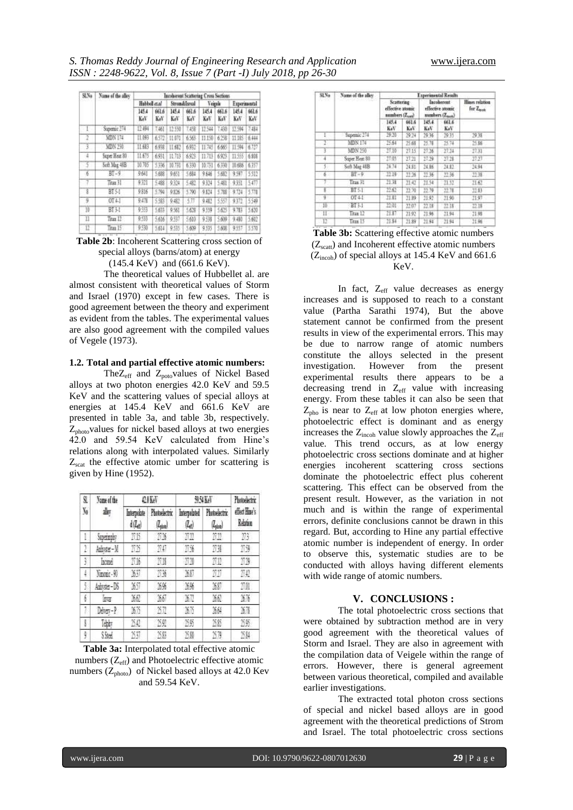| SLNo    | Name of the alloy       | Incolucent Scattering Cross Sections |              |              |               |              |              |              |             |  |
|---------|-------------------------|--------------------------------------|--------------|--------------|---------------|--------------|--------------|--------------|-------------|--|
|         |                         | Habbell et al                        |              | Strom&Israil |               | Veirele      |              | Experimental |             |  |
|         |                         | 145.4<br>KeV                         | 661,6<br>Kol | 145.4<br>KeV | 661.6<br>Keli | 145.4<br>KeV | 661,6<br>KoV | 145.4<br>KeV | 661.6<br>КN |  |
|         | Superior <sub>274</sub> | 12.494                               | T.461        | 12.550       | 7.4%          | 11544        | 7430         | 11594        | 7414        |  |
| 2       | MDN 174                 | 11.093                               | 6572         | 11:071       | 6368          | 11150        | 62%          | 11.185       | 6.444       |  |
| 3       | MDN 250                 | 11,683                               | 69%          | 11:682       | 6932          | 11745        | 6665         | 11.594       | 6.727       |  |
| 4       | Super Heat 80           | 11.675                               | 6931         | $11 - 713$   | 6978          | 11.713       | 6923         | 11.555       | 6.838       |  |
|         | Soft Mag 48B            | 10.785                               | 5336         | 10.731       | 6330          | 10.731       | 6.330        | 10,686       | 6357        |  |
| 6       | $BT-9$                  | 9.641                                | 5,688        | 9.651        | 5.694         | 9.646        | 5,682        | 9.597        | 5.512       |  |
| 7       | Tras 31                 | 9.321                                | 548          | 9.324        | 5.482         | 9324         | 5481         | 9351         | 5477        |  |
| 3       | <b>BT 5-1</b>           | 9816                                 | \$794        | 9.826        | 5.790         | 9.834        | 5.788        | 9.1%         | 5.778       |  |
| 9       | OT 4.1                  | 到信                                   | 5.983        | 9.収          | 封顶            | 9.482        | 557          | 9372         | 5549        |  |
| W       | BT <sub>3-I</sub>       | 9553                                 | 5.633        | 9.551        | 5.628         | 9399         | 5.625        | 9.783        | 5.630       |  |
| $_{11}$ | Trus 12                 | 9.533                                | 5,616        | 9.537        | 5,610         | 美洲           | 5,609        | 9.480        | 5.602       |  |
| 11      | Tras 15                 | 9530                                 | 5,614        | 9.535        | 3,609         | 9.535        | 5,608        | 9.557        | 5530        |  |
|         |                         |                                      |              |              |               |              |              |              |             |  |

**Table 2b**: Incoherent Scattering cross section of special alloys (barns/atom) at energy

(145.4 KeV) and (661.6 KeV).

The theoretical values of Hubbellet al. are almost consistent with theoretical values of Storm and Israel (1970) except in few cases. There is good agreement between the theory and experiment as evident from the tables. The experimental values are also good agreement with the compiled values of Vegele (1973).

#### **1.2. Total and partial effective atomic numbers:**

The $Z_{\text{eff}}$  and  $Z_{\text{pot}}$  values of Nickel Based alloys at two photon energies 42.0 KeV and 59.5 KeV and the scattering values of special alloys at energies at 145.4 KeV and 661.6 KeV are presented in table 3a, and table 3b, respectively.  $Z<sub>photo</sub>$  values for nickel based alloys at two energies 42.0 and 59.54 KeV calculated from Hine's relations along with interpolated values. Similarly  $Z<sub>scat</sub>$  the effective atomic umber for scattering is given by Hine (1952).

| s<br>y,         | <b>Name of the</b><br>谢 |                                    | 0 I Kel                          | 95465                | Photoelectric                     |                           |
|-----------------|-------------------------|------------------------------------|----------------------------------|----------------------|-----------------------------------|---------------------------|
|                 |                         | Interpolate<br>d(Z <sub>el</sub> ) | Photoelectric<br>$(l_{\rm obs})$ | Interpolated<br>(La) | Photoelectric<br>$(l_{\rm phot})$ | effect Hone's<br>Relation |
| Ľ               | Superimpty              | NB                                 | 11                               | nn                   | nn                                | 73                        |
| $\overline{1}$  | Ashyder-M               | 115                                | 70                               | N                    | ÏЖ                                | 刑债                        |
| $\frac{\pi}{2}$ | lacend                  | 百服                                 | ΠN                               | 77                   | nn                                | na                        |
| 4               | Nmont-91                | XV.                                | 756                              | XXI                  | nn                                | 80                        |
| ĵ               | Adensier-DS             | Xī                                 | XK.                              | 35%                  | XXI                               | 類                         |
| f.              | tea                     | 362                                | 36                               | X7                   | MA.                               | XX                        |
|                 | Deter-P                 | M                                  | δĩ                               | M                    | 364                               | M                         |
| ţ               | Tably                   | 50                                 | 20                               | 25                   | 38                                | 75.95                     |
| ğ               | S Sted                  | 20                                 | 15.89                            | <b>25.80</b>         | 53                                | 284                       |

**Table 3a:** Interpolated total effective atomic numbers  $(Z_{\text{eff}})$  and Photoelectric effective atomic numbers ( $Z_{photo}$ ) of Nickel based alloys at 42.0 Kev and 59.54 KeV.

| SLNo           | Name of the alloy  | <b>Experimental Reinits</b>                       |              |                                                         |              |                             |  |  |  |
|----------------|--------------------|---------------------------------------------------|--------------|---------------------------------------------------------|--------------|-----------------------------|--|--|--|
|                |                    | Scattering:<br>effective atomic<br>anmbers (Znea) |              | <b>Incoherent</b><br>effective atomic<br>numbers (Znnn) |              | Hines relation<br>for Zeesk |  |  |  |
|                |                    | 145.4<br>K+V                                      | 661.6<br>KoV | 145.4<br>KeV                                            | 661.6<br>K.V |                             |  |  |  |
| E              | Superaic 274       | 19.30                                             | 29:24        | 29.36                                                   | $-29.35$     | <b>1938</b>                 |  |  |  |
|                | MDN 174            | 15.64                                             | 25.68        | 25.78                                                   | 25.74        | 25.56                       |  |  |  |
|                | MDN 250            | $-17.55$                                          | 27.15        | 27.36                                                   | 27.34        | $-27.33$                    |  |  |  |
|                | Super Heat 80      | TT 05                                             | 27.21        | 27.29                                                   | 17.28        | 3737                        |  |  |  |
| 5.             | Saft Mag 48B       | 24:74                                             | 24.81        | 24.86                                                   | 24.82        | 34.94                       |  |  |  |
| s.             | $BT \sim 9$        | $-22.19$                                          | 22:26        | 22.36                                                   | 32.96        | 72.38                       |  |  |  |
|                | Titus 31           | 21.38                                             | 21.47        | 21.54                                                   | 21.52        | 21.62                       |  |  |  |
| £              | BT51               | 22.62                                             | 22.70        | 22.79                                                   | 22.71        | 32.83                       |  |  |  |
| g.             | DT4-E              | 21.81                                             | 21.89        | 21.92                                                   | 21.90        | 21.97                       |  |  |  |
| 10             | BT3-1              | 22.01                                             | 22.07        | 22.08                                                   | 22.15        | 22.18                       |  |  |  |
| 11-            | Tear <sub>12</sub> | $-21.87$                                          | 22.92        | 21.96                                                   | 21.94        | $-21.98$                    |  |  |  |
| $\mathbb{T}^n$ | Taxa 15            | 334                                               | 21.89        | 21.94                                                   | 31.94        | 21.96                       |  |  |  |

**Table 3b:** Scattering effective atomic numbers  $(Z<sub>scatt</sub>)$  and Incoherent effective atomic numbers  $(Z<sub>incoh</sub>)$  of special alloys at 145.4 KeV and 661.6 KeV.

In fact, Z<sub>eff</sub> value decreases as energy increases and is supposed to reach to a constant value (Partha Sarathi 1974), But the above statement cannot be confirmed from the present results in view of the experimental errors. This may be due to narrow range of atomic numbers constitute the alloys selected in the present investigation. However from the present experimental results there appears to be a decreasing trend in  $Z_{\text{eff}}$  value with increasing energy. From these tables it can also be seen that  $Z_{\text{pho}}$  is near to  $Z_{\text{eff}}$  at low photon energies where, photoelectric effect is dominant and as energy increases the  $Z_{\text{incoh}}$  value slowly approaches the  $Z_{\text{eff}}$ value. This trend occurs, as at low energy photoelectric cross sections dominate and at higher energies incoherent scattering cross sections dominate the photoelectric effect plus coherent scattering. This effect can be observed from the present result. However, as the variation in not much and is within the range of experimental errors, definite conclusions cannot be drawn in this regard. But, according to Hine any partial effective atomic number is independent of energy. In order to observe this, systematic studies are to be conducted with alloys having different elements with wide range of atomic numbers.

#### **V. CONCLUSIONS :**

The total photoelectric cross sections that were obtained by subtraction method are in very good agreement with the theoretical values of Storm and Israel. They are also in agreement with the compilation data of Veigele within the range of errors. However, there is general agreement between various theoretical, compiled and available earlier investigations.

The extracted total photon cross sections of special and nickel based alloys are in good agreement with the theoretical predictions of Strom and Israel. The total photoelectric cross sections